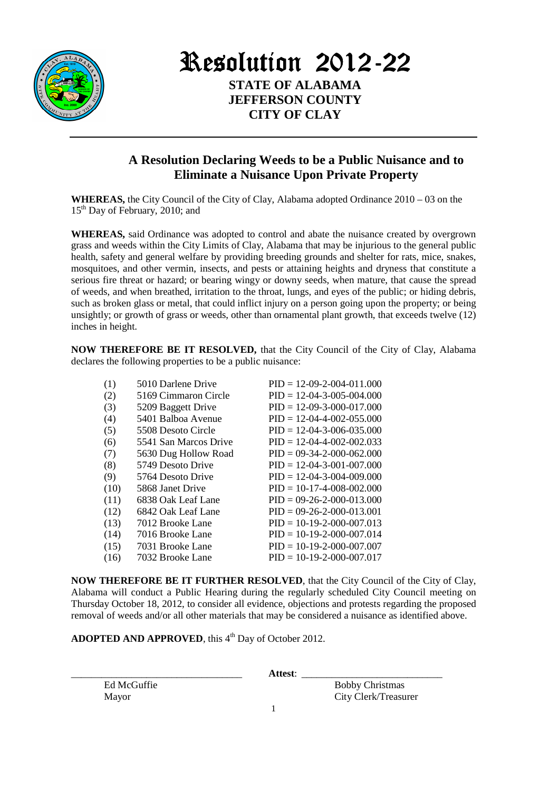

Resolution 2012-22 **STATE OF ALABAMA** 

> **JEFFERSON COUNTY CITY OF CLAY**

## **A Resolution Declaring Weeds to be a Public Nuisance and to Eliminate a Nuisance Upon Private Property**

**WHEREAS,** the City Council of the City of Clay, Alabama adopted Ordinance 2010 – 03 on the 15<sup>th</sup> Day of February, 2010; and

**WHEREAS,** said Ordinance was adopted to control and abate the nuisance created by overgrown grass and weeds within the City Limits of Clay, Alabama that may be injurious to the general public health, safety and general welfare by providing breeding grounds and shelter for rats, mice, snakes, mosquitoes, and other vermin, insects, and pests or attaining heights and dryness that constitute a serious fire threat or hazard; or bearing wingy or downy seeds, when mature, that cause the spread of weeds, and when breathed, irritation to the throat, lungs, and eyes of the public; or hiding debris, such as broken glass or metal, that could inflict injury on a person going upon the property; or being unsightly; or growth of grass or weeds, other than ornamental plant growth, that exceeds twelve (12) inches in height.

**NOW THEREFORE BE IT RESOLVED, that the City Council of the City of Clay, Alabama** declares the following properties to be a public nuisance:

| (1)  | 5010 Darlene Drive    | $PID = 12-09-2-004-011.000$ |
|------|-----------------------|-----------------------------|
| (2)  | 5169 Cimmaron Circle  | $PID = 12-04-3-005-004.000$ |
| (3)  | 5209 Baggett Drive    | $PID = 12-09-3-000-017.000$ |
| (4)  | 5401 Balboa Avenue    | $PID = 12-04-4-002-055.000$ |
| (5)  | 5508 Desoto Circle    | $PID = 12-04-3-006-035.000$ |
| (6)  | 5541 San Marcos Drive | $PID = 12-04-4-002-002.033$ |
| (7)  | 5630 Dug Hollow Road  | $PID = 09-34-2-000-062.000$ |
| (8)  | 5749 Desoto Drive     | $PID = 12-04-3-001-007.000$ |
| (9)  | 5764 Desoto Drive     | $PID = 12-04-3-004-009.000$ |
| (10) | 5868 Janet Drive      | $PID = 10-17-4-008-002.000$ |
| (11) | 6838 Oak Leaf Lane    | $PID = 09-26-2-000-013.000$ |
| (12) | 6842 Oak Leaf Lane    | $PID = 09-26-2-000-013.001$ |
| (13) | 7012 Brooke Lane      | $PID = 10-19-2-000-007.013$ |
| (14) | 7016 Brooke Lane      | $PID = 10-19-2-000-007.014$ |
| (15) | 7031 Brooke Lane      | $PID = 10-19-2-000-007.007$ |
| (16) | 7032 Brooke Lane      | $PID = 10-19-2-000-007.017$ |
|      |                       |                             |

**NOW THEREFORE BE IT FURTHER RESOLVED**, that the City Council of the City of Clay, Alabama will conduct a Public Hearing during the regularly scheduled City Council meeting on Thursday October 18, 2012, to consider all evidence, objections and protests regarding the proposed removal of weeds and/or all other materials that may be considered a nuisance as identified above.

**ADOPTED AND APPROVED**, this 4<sup>th</sup> Day of October 2012.

\_\_\_\_\_\_\_\_\_\_\_\_\_\_\_\_\_\_\_\_\_\_\_\_\_\_\_\_\_\_\_\_\_\_ **Attest**: \_\_\_\_\_\_\_\_\_\_\_\_\_\_\_\_\_\_\_\_\_\_\_\_\_\_\_\_

Ed McGuffie Bobby Christmas Mayor City Clerk/Treasurer